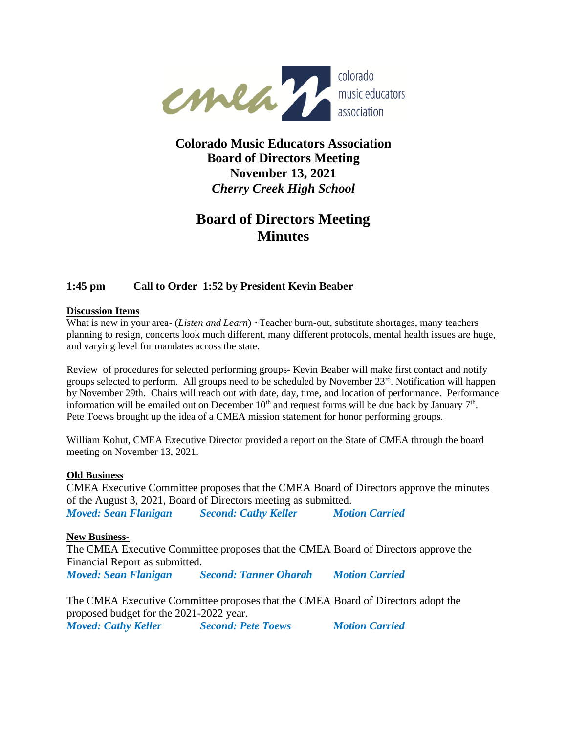

## **Colorado Music Educators Association Board of Directors Meeting November 13, 2021** *Cherry Creek High School*

# **Board of Directors Meeting Minutes**

## **1:45 pm Call to Order 1:52 by President Kevin Beaber**

#### **Discussion Items**

What is new in your area- (*Listen and Learn*) ~Teacher burn-out, substitute shortages, many teachers planning to resign, concerts look much different, many different protocols, mental health issues are huge, and varying level for mandates across the state.

Review of procedures for selected performing groups- Kevin Beaber will make first contact and notify groups selected to perform. All groups need to be scheduled by November 23<sup>rd</sup>. Notification will happen by November 29th. Chairs will reach out with date, day, time, and location of performance. Performance information will be emailed out on December  $10<sup>th</sup>$  and request forms will be due back by January  $7<sup>th</sup>$ . Pete Toews brought up the idea of a CMEA mission statement for honor performing groups.

William Kohut, CMEA Executive Director provided a report on the State of CMEA through the board meeting on November 13, 2021.

#### **Old Business**

CMEA Executive Committee proposes that the CMEA Board of Directors approve the minutes of the August 3, 2021, Board of Directors meeting as submitted. *Moved: Sean Flanigan Second: Cathy Keller Motion Carried*

#### **New Business-**

The CMEA Executive Committee proposes that the CMEA Board of Directors approve the Financial Report as submitted. *Moved: Sean Flanigan Second: Tanner Oharah Motion Carried*

The CMEA Executive Committee proposes that the CMEA Board of Directors adopt the proposed budget for the 2021-2022 year. *Moved: Cathy Keller Second: Pete Toews Motion Carried*